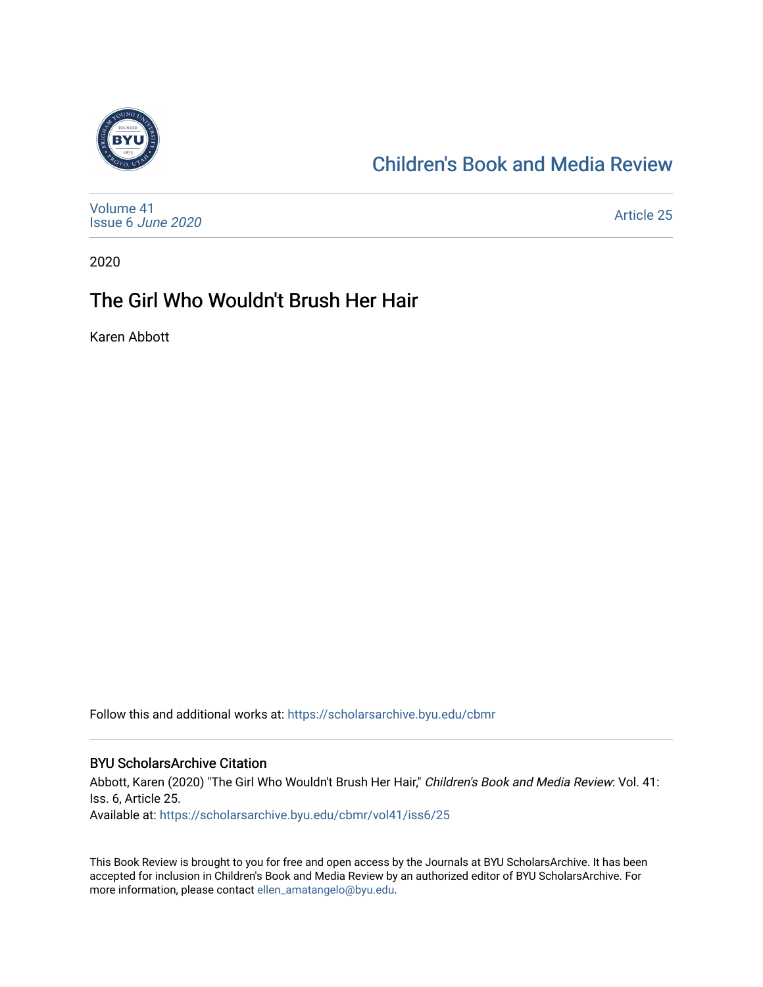

### [Children's Book and Media Review](https://scholarsarchive.byu.edu/cbmr)

| Volume 41<br>Issue 6 June 2020 | Article 25 |
|--------------------------------|------------|
|--------------------------------|------------|

2020

#### The Girl Who Wouldn't Brush Her Hair

Karen Abbott

Follow this and additional works at: [https://scholarsarchive.byu.edu/cbmr](https://scholarsarchive.byu.edu/cbmr?utm_source=scholarsarchive.byu.edu%2Fcbmr%2Fvol41%2Fiss6%2F25&utm_medium=PDF&utm_campaign=PDFCoverPages) 

#### BYU ScholarsArchive Citation

Abbott, Karen (2020) "The Girl Who Wouldn't Brush Her Hair," Children's Book and Media Review: Vol. 41: Iss. 6, Article 25. Available at: [https://scholarsarchive.byu.edu/cbmr/vol41/iss6/25](https://scholarsarchive.byu.edu/cbmr/vol41/iss6/25?utm_source=scholarsarchive.byu.edu%2Fcbmr%2Fvol41%2Fiss6%2F25&utm_medium=PDF&utm_campaign=PDFCoverPages)

This Book Review is brought to you for free and open access by the Journals at BYU ScholarsArchive. It has been accepted for inclusion in Children's Book and Media Review by an authorized editor of BYU ScholarsArchive. For more information, please contact [ellen\\_amatangelo@byu.edu.](mailto:ellen_amatangelo@byu.edu)